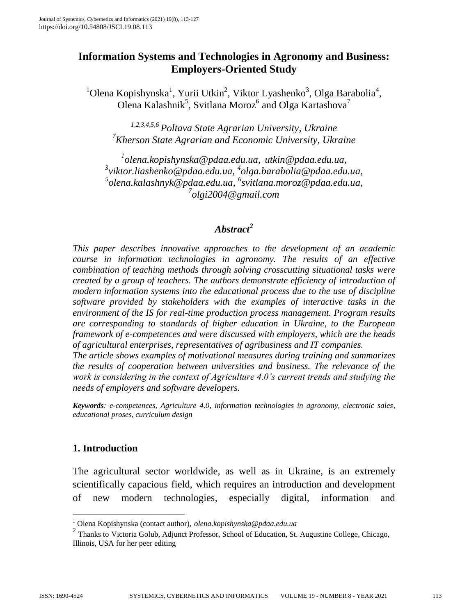# **Information Systems and Technologies in Agronomy and Business: Employers-Oriented Study**

 $1$ Olena Kopishynska<sup>1</sup>, Yurii Utkin<sup>2</sup>, Viktor Lyashenko<sup>3</sup>, Olga Barabolia<sup>4</sup>, Olena Kalashnik<sup>5</sup>, Svitlana Moroz<sup>6</sup> and Olga Kartashova<sup>7</sup>

*1,2,3,4,5,6 Poltava State Agrarian University, Ukraine <sup>7</sup>Kherson State Agrarian and Economic University, Ukraine*

 *[olena.kopishynska@pdaa.edu.ua,](mailto:olena.kopishynska@pdaa.edu.ua) [utkin@pdaa.edu.ua,](mailto:utkin@pdaa.edu.ua) [viktor.liashenko@pdaa.edu.ua,](mailto:viktor.liashenko@pdaa.edu.ua) 4 [olga.barabolia@pdaa.edu.ua,](mailto:olga.barabolia@pdaa.edu.ua) [olena.kalashnyk@pdaa.edu.ua,](mailto:olena.kalashnyk@pdaa.edu.ua) 6 [svitlana.moroz@pdaa.edu.ua,](mailto:svitlana.moroz@pdaa.edu.ua) [olgi2004@gmail.com](mailto:olgi2004@gmail.com)*

# *Abstract<sup>2</sup>*

*This paper describes innovative approaches to the development of an academic course in information technologies in agronomy. The results of an effective combination of teaching methods through solving crosscutting situational tasks were created by a group of teachers. The authors demonstrate efficiency of introduction of modern information systems into the educational process due to the use of discipline software provided by stakeholders with the examples of interactive tasks in the environment of the IS for real-time production process management. Program results are corresponding to standards of higher education in Ukraine, to the European framework of e-competences and were discussed with employers, which are the heads of agricultural enterprises, representatives of agribusiness and IT companies.*

*The article shows examples of motivational measures during training and summarizes the results of cooperation between universities and business. The relevance of the work is considering in the context of Agriculture 4.0's current trends and studying the needs of employers and software developers.*

*Keywords: e-competences, Agriculture 4.0, information technologies in agronomy, electronic sales, educational proses, curriculum design*

## **1. Introduction**

The agricultural sector worldwide, as well as in Ukraine, is an extremely scientifically capacious field, which requires an introduction and development of new modern technologies, especially digital, information and

 $\overline{a}$ 

<sup>1</sup> Olena Kopishynska (contact author), *[olena.kopishynska@pdaa.edu.ua](mailto:olena.kopishynska@pdaa.edu.ua)*

<sup>&</sup>lt;sup>2</sup> Thanks to Victoria Golub, Adjunct Professor, School of Education, St. Augustine College, Chicago, Illinois, USA for her peer editing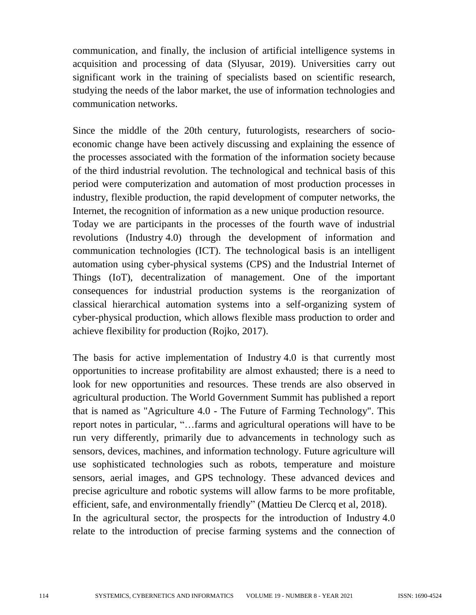communication, and finally, the inclusion of artificial intelligence systems in acquisition and processing of data (Slyusar, 2019). Universities carry out significant work in the training of specialists based on scientific research, studying the needs of the labor market, the use of information technologies and communication networks.

Since the middle of the 20th century, futurologists, researchers of socioeconomic change have been actively discussing and explaining the essence of the processes associated with the formation of the information society because of the third industrial revolution. The technological and technical basis of this period were computerization and automation of most production processes in industry, flexible production, the rapid development of computer networks, the Internet, the recognition of information as a new unique production resource. Today we are participants in the processes of the fourth wave of industrial

revolutions (Industry 4.0) through the development of information and communication technologies (ICT). The technological basis is an intelligent automation using cyber-physical systems (CPS) and the Industrial Internet of Things (IoT), decentralization of management. One of the important consequences for industrial production systems is the reorganization of classical hierarchical automation systems into a self-organizing system of cyber-physical production, which allows flexible mass production to order and achieve flexibility for production (Rojko, 2017).

The basis for active implementation of Industry 4.0 is that currently most opportunities to increase profitability are almost exhausted; there is a need to look for new opportunities and resources. These trends are also observed in agricultural production. The World Government Summit has published a report that is named as "Agriculture 4.0 - The Future of Farming Technology". This report notes in particular, "…farms and agricultural operations will have to be run very differently, primarily due to advancements in technology such as sensors, devices, machines, and information technology. Future agriculture will use sophisticated technologies such as robots, temperature and moisture sensors, aerial images, and GPS technology. These advanced devices and precise agriculture and robotic systems will allow farms to be more profitable, efficient, safe, and environmentally friendly" (Mattieu De Clercq et al, 2018). In the agricultural sector, the prospects for the introduction of Industry 4.0 relate to the introduction of precise farming systems and the connection of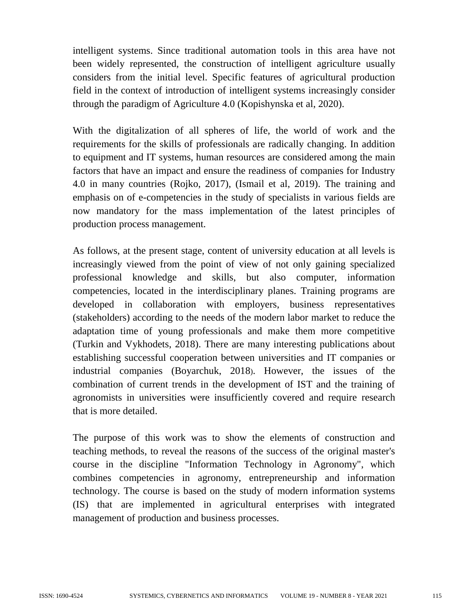intelligent systems. Since traditional automation tools in this area have not been widely represented, the construction of intelligent agriculture usually considers from the initial level. Specific features of agricultural production field in the context of introduction of intelligent systems increasingly consider through the paradigm of Agriculture 4.0 (Kopishynska et al, 2020).

With the digitalization of all spheres of life, the world of work and the requirements for the skills of professionals are radically changing. In addition to equipment and IT systems, human resources are considered among the main factors that have an impact and ensure the readiness of companies for Industry 4.0 in many countries (Rojko, 2017), (Ismail et al, 2019). The training and emphasis on of e-competencies in the study of specialists in various fields are now mandatory for the mass implementation of the latest principles of production process management.

As follows, at the present stage, content of university education at all levels is increasingly viewed from the point of view of not only gaining specialized professional knowledge and skills, but also computer, information competencies, located in the interdisciplinary planes. Training programs are developed in collaboration with employers, business representatives (stakeholders) according to the needs of the modern labor market to reduce the adaptation time of young professionals and make them more competitive (Turkin and Vykhodets, 2018). There are many interesting publications about establishing successful cooperation between universities and IT companies or industrial companies (Boyarchuk, 2018). However, the issues of the combination of current trends in the development of IST and the training of agronomists in universities were insufficiently covered and require research that is more detailed.

The purpose of this work was to show the elements of construction and teaching methods, to reveal the reasons of the success of the original master's course in the discipline "Information Technology in Agronomy", which combines competencies in agronomy, entrepreneurship and information technology. The course is based on the study of modern information systems (IS) that are implemented in agricultural enterprises with integrated management of production and business processes.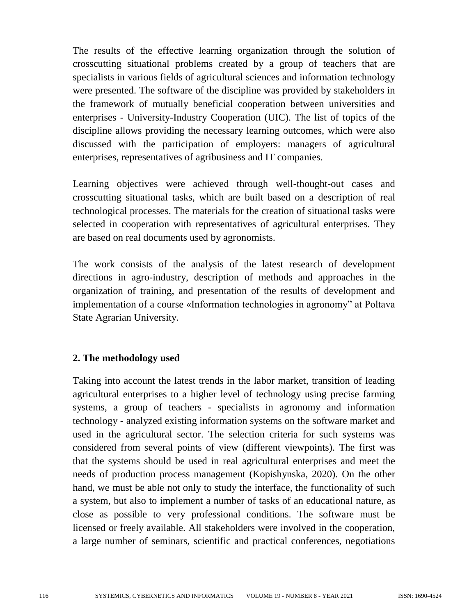The results of the effective learning organization through the solution of crosscutting situational problems created by a group of teachers that are specialists in various fields of agricultural sciences and information technology were presented. The software of the discipline was provided by stakeholders in the framework of mutually beneficial cooperation between universities and enterprises - University-Industry Cooperation (UIC). The list of topics of the discipline allows providing the necessary learning outcomes, which were also discussed with the participation of employers: managers of agricultural enterprises, representatives of agribusiness and IT companies.

Learning objectives were achieved through well-thought-out cases and crosscutting situational tasks, which are built based on a description of real technological processes. The materials for the creation of situational tasks were selected in cooperation with representatives of agricultural enterprises. They are based on real documents used by agronomists.

The work consists of the analysis of the latest research of development directions in agro-industry, description of methods and approaches in the organization of training, and presentation of the results of development and implementation of a course «Information technologies in agronomy" at Poltava State Agrarian University.

## **2. The methodology used**

Taking into account the latest trends in the labor market, transition of leading agricultural enterprises to a higher level of technology using precise farming systems, a group of teachers - specialists in agronomy and information technology - analyzed existing information systems on the software market and used in the agricultural sector. The selection criteria for such systems was considered from several points of view (different viewpoints). The first was that the systems should be used in real agricultural enterprises and meet the needs of production process management (Kopishynska, 2020). On the other hand, we must be able not only to study the interface, the functionality of such a system, but also to implement a number of tasks of an educational nature, as close as possible to very professional conditions. The software must be licensed or freely available. All stakeholders were involved in the cooperation, a large number of seminars, scientific and practical conferences, negotiations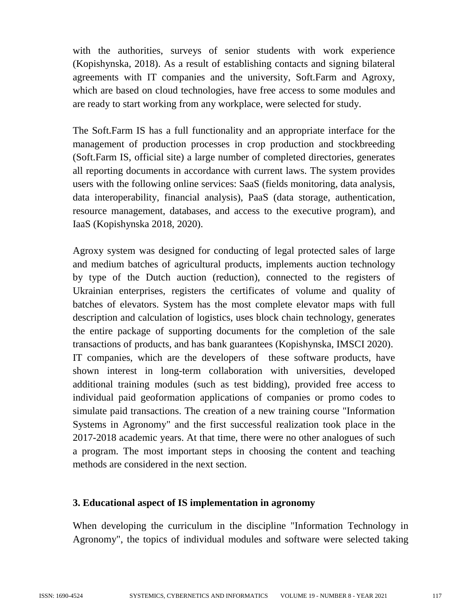with the authorities, surveys of senior students with work experience (Kopishynska, 2018). As a result of establishing contacts and signing bilateral agreements with IT companies and the university, Soft.Farm and Agroxy, which are based on cloud technologies, have free access to some modules and are ready to start working from any workplace, were selected for study.

The Soft.Farm IS has a full functionality and an appropriate interface for the management of production processes in crop production and stockbreeding (Soft.Farm IS, official site) a large number of completed directories, generates all reporting documents in accordance with current laws. The system provides users with the following online services: SaaS (fields monitoring, data analysis, data interoperability, financial analysis), PaaS (data storage, authentication, resource management, databases, and access to the executive program), and IaaS (Kopishynska 2018, 2020).

Agroxy system was designed for conducting of legal protected sales of large and medium batches of agricultural products, implements auction technology by type of the Dutch auction (reduction), connected to the registers of Ukrainian enterprises, registers the certificates of volume and quality of batches of elevators. System has the most complete elevator maps with full description and calculation of logistics, uses block chain technology, generates the entire package of supporting documents for the completion of the sale transactions of products, and has bank guarantees (Kopishynska, IMSCI 2020). IT companies, which are the developers of these software products, have shown interest in long-term collaboration with universities, developed additional training modules (such as test bidding), provided free access to individual paid geoformation applications of companies or promo codes to simulate paid transactions. The creation of a new training course "Information Systems in Agronomy" and the first successful realization took place in the 2017-2018 academic years. At that time, there were no other analogues of such a program. The most important steps in choosing the content and teaching methods are considered in the next section.

## **3. Educational aspect of IS implementation in agronomy**

When developing the curriculum in the discipline "Information Technology in Agronomy", the topics of individual modules and software were selected taking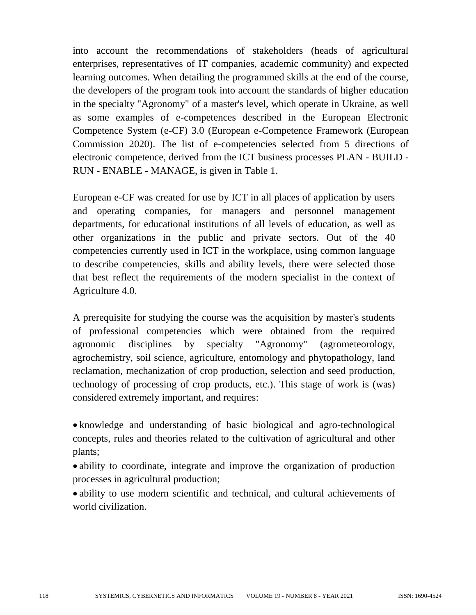into account the recommendations of stakeholders (heads of agricultural enterprises, representatives of IT companies, academic community) and expected learning outcomes. When detailing the programmed skills at the end of the course, the developers of the program took into account the standards of higher education in the specialty "Agronomy" of a master's level, which operate in Ukraine, as well as some examples of e-competences described in the European Electronic Competence System (e-CF) 3.0 (European e-Competence Framework (European Commission 2020). The list of e-competencies selected from 5 directions of electronic competence, derived from the ICT business processes PLAN - BUILD - RUN - ENABLE - MANAGE, is given in Table 1.

European e-CF was created for use by ICT in all places of application by users and operating companies, for managers and personnel management departments, for educational institutions of all levels of education, as well as other organizations in the public and private sectors. Out of the 40 competencies currently used in ICT in the workplace, using common language to describe competencies, skills and ability levels, there were selected those that best reflect the requirements of the modern specialist in the context of Agriculture 4.0.

A prerequisite for studying the course was the acquisition by master's students of professional competencies which were obtained from the required agronomic disciplines by specialty "Agronomy" (agrometeorology, agrochemistry, soil science, agriculture, entomology and phytopathology, land reclamation, mechanization of crop production, selection and seed production, technology of processing of crop products, etc.). This stage of work is (was) considered extremely important, and requires:

 knowledge and understanding of basic biological and agro-technological concepts, rules and theories related to the cultivation of agricultural and other plants;

 ability to coordinate, integrate and improve the organization of production processes in agricultural production;

 ability to use modern scientific and technical, and cultural achievements of world civilization.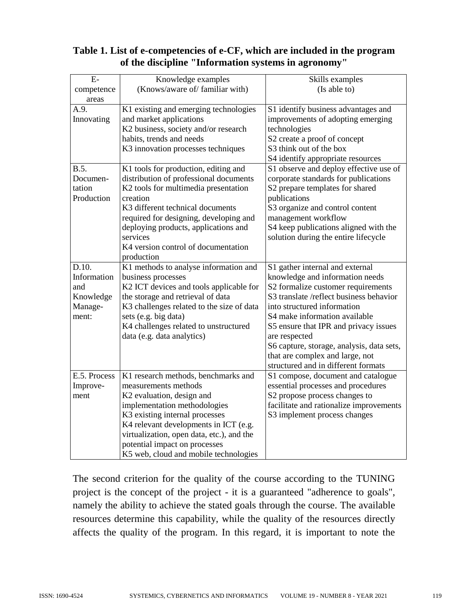| Table 1. List of e-competencies of e-CF, which are included in the program |
|----------------------------------------------------------------------------|
| of the discipline "Information systems in agronomy"                        |

| $E-$         | Knowledge examples                        | Skills examples                           |
|--------------|-------------------------------------------|-------------------------------------------|
| competence   | (Knows/aware of/ familiar with)           | (Is able to)                              |
| areas        |                                           |                                           |
| A.9.         | K1 existing and emerging technologies     | S1 identify business advantages and       |
| Innovating   | and market applications                   | improvements of adopting emerging         |
|              | K2 business, society and/or research      | technologies                              |
|              | habits, trends and needs                  | S2 create a proof of concept              |
|              | K3 innovation processes techniques        | S3 think out of the box                   |
|              |                                           | S4 identify appropriate resources         |
| B.5.         | K1 tools for production, editing and      | S1 observe and deploy effective use of    |
| Documen-     | distribution of professional documents    | corporate standards for publications      |
| tation       | K2 tools for multimedia presentation      | S2 prepare templates for shared           |
| Production   | creation                                  | publications                              |
|              | K3 different technical documents          | S3 organize and control content           |
|              | required for designing, developing and    | management workflow                       |
|              | deploying products, applications and      | S4 keep publications aligned with the     |
|              | services                                  | solution during the entire lifecycle      |
|              | K4 version control of documentation       |                                           |
|              | production                                |                                           |
| D.10.        | K1 methods to analyse information and     | S1 gather internal and external           |
| Information  | business processes                        | knowledge and information needs           |
| and          | K2 ICT devices and tools applicable for   | S2 formalize customer requirements        |
| Knowledge    | the storage and retrieval of data         | S3 translate /reflect business behavior   |
| Manage-      | K3 challenges related to the size of data | into structured information               |
| ment:        | sets (e.g. big data)                      | S4 make information available             |
|              | K4 challenges related to unstructured     | S5 ensure that IPR and privacy issues     |
|              | data (e.g. data analytics)                | are respected                             |
|              |                                           | S6 capture, storage, analysis, data sets, |
|              |                                           | that are complex and large, not           |
|              |                                           | structured and in different formats       |
| E.5. Process | K1 research methods, benchmarks and       | S1 compose, document and catalogue        |
| Improve-     | measurements methods                      | essential processes and procedures        |
| ment         | K2 evaluation, design and                 | S2 propose process changes to             |
|              | implementation methodologies              | facilitate and rationalize improvements   |
|              | K3 existing internal processes            | S3 implement process changes              |
|              | K4 relevant developments in ICT (e.g.     |                                           |
|              | virtualization, open data, etc.), and the |                                           |
|              | potential impact on processes             |                                           |
|              | K5 web, cloud and mobile technologies     |                                           |

The second criterion for the quality of the course according to the TUNING project is the concept of the project - it is a guaranteed "adherence to goals", namely the ability to achieve the stated goals through the course. The available resources determine this capability, while the quality of the resources directly affects the quality of the program. In this regard, it is important to note the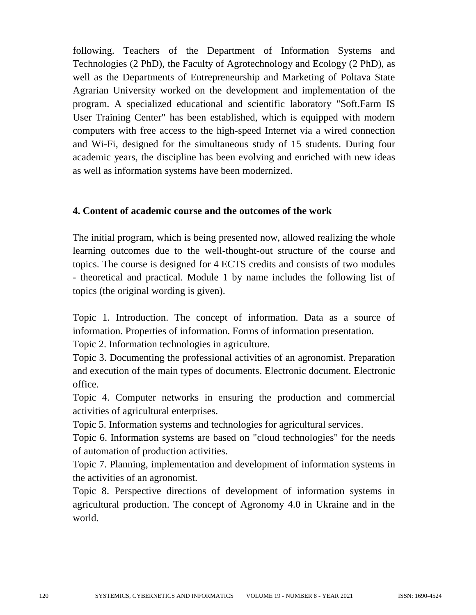following. Teachers of the Department of Information Systems and Technologies (2 PhD), the Faculty of Agrotechnology and Ecology (2 PhD), as well as the Departments of Entrepreneurship and Marketing of Poltava State Agrarian University worked on the development and implementation of the program. A specialized educational and scientific laboratory "Soft.Farm IS User Training Center" has been established, which is equipped with modern computers with free access to the high-speed Internet via a wired connection and Wi-Fi, designed for the simultaneous study of 15 students. During four academic years, the discipline has been evolving and enriched with new ideas as well as information systems have been modernized.

#### **4. Content of academic course and the outcomes of the work**

The initial program, which is being presented now, allowed realizing the whole learning outcomes due to the well-thought-out structure of the course and topics. The course is designed for 4 ECTS credits and consists of two modules - theoretical and practical. Module 1 by name includes the following list of topics (the original wording is given).

Topic 1. Introduction. The concept of information. Data as a source of information. Properties of information. Forms of information presentation.

Topic 2. Information technologies in agriculture.

Topic 3. Documenting the professional activities of an agronomist. Preparation and execution of the main types of documents. Electronic document. Electronic office.

Topic 4. Computer networks in ensuring the production and commercial activities of agricultural enterprises.

Topic 5. Information systems and technologies for agricultural services.

Topic 6. Information systems are based on "cloud technologies" for the needs of automation of production activities.

Topic 7. Planning, implementation and development of information systems in the activities of an agronomist.

Topic 8. Perspective directions of development of information systems in agricultural production. The concept of Agronomy 4.0 in Ukraine and in the world.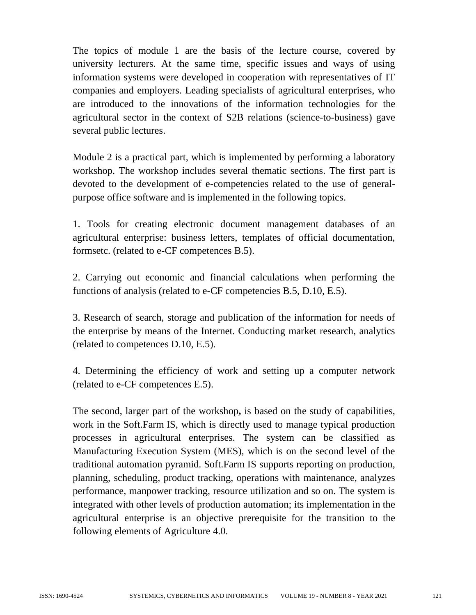The topics of module 1 are the basis of the lecture course, covered by university lecturers. At the same time, specific issues and ways of using information systems were developed in cooperation with representatives of IT companies and employers. Leading specialists of agricultural enterprises, who are introduced to the innovations of the information technologies for the agricultural sector in the context of S2B relations (science-to-business) gave several public lectures.

Module 2 is a practical part, which is implemented by performing a laboratory workshop. The workshop includes several thematic sections. The first part is devoted to the development of e-competencies related to the use of generalpurpose office software and is implemented in the following topics.

1. Tools for creating electronic document management databases of an agricultural enterprise: business letters, templates of official documentation, formsetc. (related to e-CF competences B.5).

2. Carrying out economic and financial calculations when performing the functions of analysis (related to e-CF competencies B.5, D.10, E.5).

3. Research of search, storage and publication of the information for needs of the enterprise by means of the Internet. Conducting market research, analytics (related to competences D.10, E.5).

4. Determining the efficiency of work and setting up a computer network (related to e-CF competences E.5).

The second, larger part of the workshop**,** is based on the study of capabilities, work in the Soft.Farm IS, which is directly used to manage typical production processes in agricultural enterprises. The system can be classified as Manufacturing Execution System (MES), which is on the second level of the traditional automation pyramid. Soft.Farm IS supports reporting on production, planning, scheduling, product tracking, operations with maintenance, analyzes performance, manpower tracking, resource utilization and so on. The system is integrated with other levels of production automation; its implementation in the agricultural enterprise is an objective prerequisite for the transition to the following elements of Agriculture 4.0.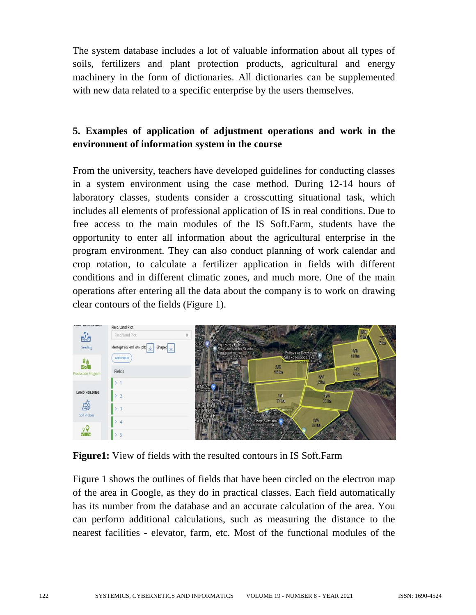The system database includes a lot of valuable information about all types of soils, fertilizers and plant protection products, agricultural and energy machinery in the form of dictionaries. All dictionaries can be supplemented with new data related to a specific enterprise by the users themselves.

# **5. Examples of application of adjustment operations and work in the environment of information system in the course**

From the university, teachers have developed guidelines for conducting classes in a system environment using the case method. During 12-14 hours of laboratory classes, students consider a crosscutting situational task, which includes all elements of professional application of IS in real conditions. Due to free access to the main modules of the IS Soft.Farm, students have the opportunity to enter all information about the agricultural enterprise in the program environment. They can also conduct planning of work calendar and crop rotation, to calculate a fertilizer application in fields with different conditions and in different climatic zones, and much more. One of the main operations after entering all the data about the company is to work on drawing clear contours of the fields (Figure 1).



**Figure1:** View of fields with the resulted contours in IS Soft.Farm

Figure 1 shows the outlines of fields that have been circled on the electron map of the area in Google, as they do in practical classes. Each field automatically has its number from the database and an accurate calculation of the area. You can perform additional calculations, such as measuring the distance to the nearest facilities - elevator, farm, etc. Most of the functional modules of the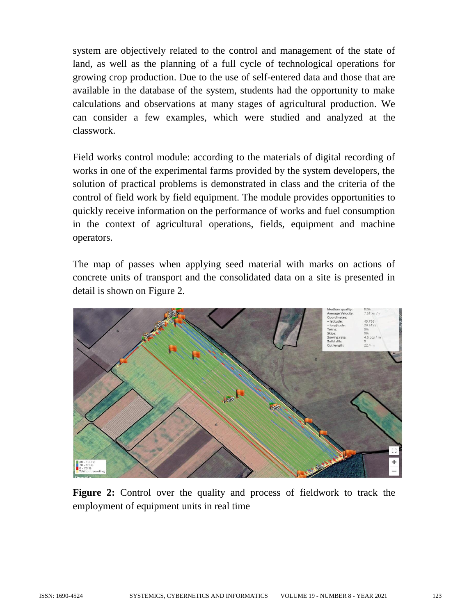system are objectively related to the control and management of the state of land, as well as the planning of a full cycle of technological operations for growing crop production. Due to the use of self-entered data and those that are available in the database of the system, students had the opportunity to make calculations and observations at many stages of agricultural production. We can consider a few examples, which were studied and analyzed at the classwork.

Field works control module: according to the materials of digital recording of works in one of the experimental farms provided by the system developers, the solution of practical problems is demonstrated in class and the criteria of the control of field work by field equipment. The module provides opportunities to quickly receive information on the performance of works and fuel consumption in the context of agricultural operations, fields, equipment and machine operators.

The map of passes when applying seed material with marks on actions of concrete units of transport and the consolidated data on a site is presented in detail is shown on Figure 2.



**Figure 2:** Control over the quality and process of fieldwork to track the employment of equipment units in real time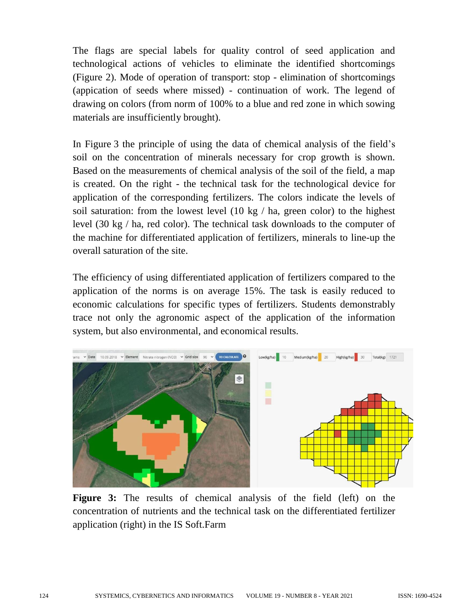The flags are special labels for quality control of seed application and technological actions of vehicles to eliminate the identified shortcomings (Figure 2). Mode of operation of transport: stop - elimination of shortcomings (appication of seeds where missed) - continuation of work. The legend of drawing on colors (from norm of 100% to a blue and red zone in which sowing materials are insufficiently brought).

In Figure 3 the principle of using the data of chemical analysis of the field's soil on the concentration of minerals necessary for crop growth is shown. Based on the measurements of chemical analysis of the soil of the field, a map is created. On the right - the technical task for the technological device for application of the corresponding fertilizers. The colors indicate the levels of soil saturation: from the lowest level (10 kg / ha, green color) to the highest level (30 kg / ha, red color). The technical task downloads to the computer of the machine for differentiated application of fertilizers, minerals to line-up the overall saturation of the site.

The efficiency of using differentiated application of fertilizers compared to the application of the norms is on average 15%. The task is easily reduced to economic calculations for specific types of fertilizers. Students demonstrably trace not only the agronomic aspect of the application of the information system, but also environmental, and economical results.



**Figure 3:** The results of chemical analysis of the field (left) on the concentration of nutrients and the technical task on the differentiated fertilizer application (right) in the IS Soft.Farm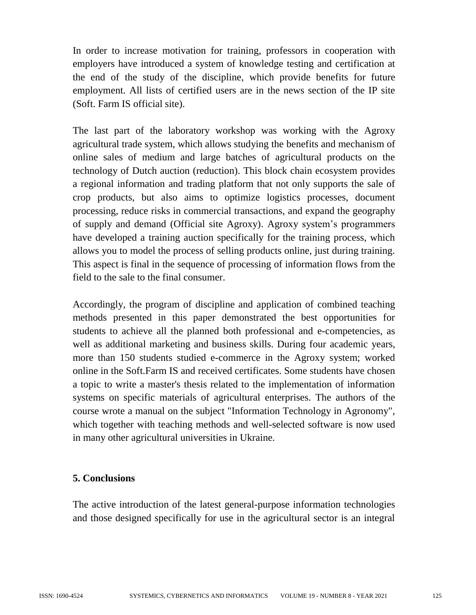In order to increase motivation for training, professors in cooperation with employers have introduced a system of knowledge testing and certification at the end of the study of the discipline, which provide benefits for future employment. All lists of certified users are in the news section of the IP site (Soft. Farm IS official site).

The last part of the laboratory workshop was working with the Agroxy agricultural trade system, which allows studying the benefits and mechanism of online sales of medium and large batches of agricultural products on the technology of Dutch auction (reduction). This block chain ecosystem provides a regional information and trading platform that not only supports the sale of crop products, but also aims to optimize logistics processes, document processing, reduce risks in commercial transactions, and expand the geography of supply and demand (Official site Agroxy). Agroxy system's programmers have developed a training auction specifically for the training process, which allows you to model the process of selling products online, just during training. This aspect is final in the sequence of processing of information flows from the field to the sale to the final consumer.

Accordingly, the program of discipline and application of combined teaching methods presented in this paper demonstrated the best opportunities for students to achieve all the planned both professional and e-competencies, as well as additional marketing and business skills. During four academic years, more than 150 students studied e-commerce in the Agroxy system; worked online in the Soft.Farm IS and received certificates. Some students have chosen a topic to write a master's thesis related to the implementation of information systems on specific materials of agricultural enterprises. The authors of the course wrote a manual on the subject "Information Technology in Agronomy", which together with teaching methods and well-selected software is now used in many other agricultural universities in Ukraine.

## **5. Conclusions**

The active introduction of the latest general-purpose information technologies and those designed specifically for use in the agricultural sector is an integral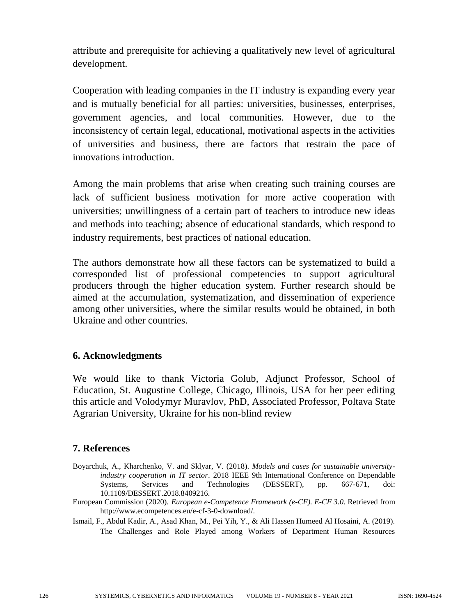attribute and prerequisite for achieving a qualitatively new level of agricultural development.

Cooperation with leading companies in the IT industry is expanding every year and is mutually beneficial for all parties: universities, businesses, enterprises, government agencies, and local communities. However, due to the inconsistency of certain legal, educational, motivational aspects in the activities of universities and business, there are factors that restrain the pace of innovations introduction.

Among the main problems that arise when creating such training courses are lack of sufficient business motivation for more active cooperation with universities; unwillingness of a certain part of teachers to introduce new ideas and methods into teaching; absence of educational standards, which respond to industry requirements, best practices of national education.

The authors demonstrate how all these factors can be systematized to build a corresponded list of professional competencies to support agricultural producers through the higher education system. Further research should be aimed at the accumulation, systematization, and dissemination of experience among other universities, where the similar results would be obtained, in both Ukraine and other countries.

## **6. Acknowledgments**

We would like to thank Victoria Golub, Adjunct Professor, School of Education, St. Augustine College, Chicago, Illinois, USA for her peer editing this article and Volodymyr Muravlov, PhD, Associated Professor, Poltava State Agrarian University, Ukraine for his non-blind review

## **7. References**

- Boyarchuk, A., Kharchenko, V. and Sklyar, V. (2018). *Models and cases for sustainable universityindustry cooperation in IT sector*. 2018 IEEE 9th International Conference on Dependable Systems, Services and Technologies (DESSERT)*,* pp. 667-671, doi: 10.1109/DESSERT.2018.8409216.
- European Commission (2020). *European e-Competence Framework (e-CF). E-CF 3.0*. Retrieved from [http://www.ecompetences.eu/e-cf-3-0-download/.](http://www.ecompetences.eu/e-cf-3-0-download/)
- Ismail, F., Abdul Kadir, A., Asad Khan, M., Pei Yih, Y., & Ali Hassen Humeed Al Hosaini, A. (2019). The Challenges and Role Played among Workers of Department Human Resources